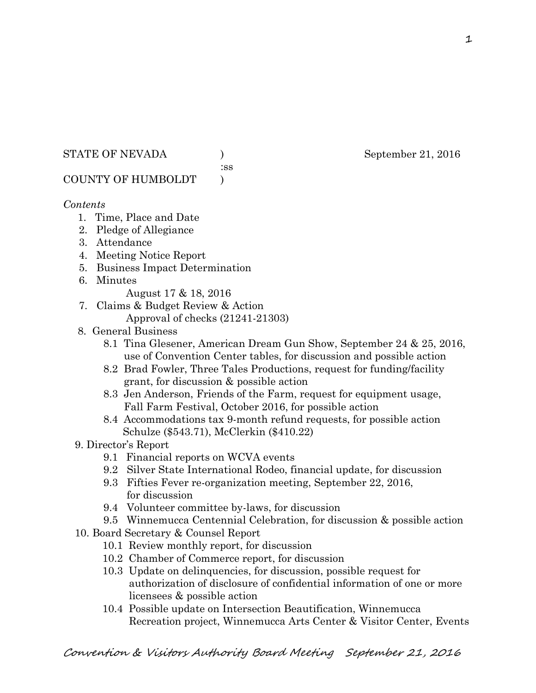## STATE OF NEVADA ) September 21, 2016

:ss

# COUNTY OF HUMBOLDT )

## *Contents*

- 1. Time, Place and Date
- 2. Pledge of Allegiance
- 3. Attendance
- 4. Meeting Notice Report
- 5. Business Impact Determination
- 6. Minutes
	- August 17 & 18, 2016
- 7. Claims & Budget Review & Action Approval of checks (21241-21303)
- 8. General Business
	- 8.1 Tina Glesener, American Dream Gun Show, September 24 & 25, 2016, use of Convention Center tables, for discussion and possible action
	- 8.2 Brad Fowler, Three Tales Productions, request for funding/facility grant, for discussion & possible action
	- 8.3 Jen Anderson, Friends of the Farm, request for equipment usage, Fall Farm Festival, October 2016, for possible action
	- 8.4 Accommodations tax 9-month refund requests, for possible action Schulze (\$543.71), McClerkin (\$410.22)
- 9. Director's Report
	- 9.1 Financial reports on WCVA events
	- 9.2 Silver State International Rodeo, financial update, for discussion
	- 9.3 Fifties Fever re-organization meeting, September 22, 2016, for discussion
	- 9.4 Volunteer committee by-laws, for discussion
	- 9.5 Winnemucca Centennial Celebration, for discussion & possible action
- 10. Board Secretary & Counsel Report
	- 10.1 Review monthly report, for discussion
	- 10.2 Chamber of Commerce report, for discussion
	- 10.3 Update on delinquencies, for discussion, possible request for authorization of disclosure of confidential information of one or more licensees & possible action
	- 10.4 Possible update on Intersection Beautification, Winnemucca Recreation project, Winnemucca Arts Center & Visitor Center, Events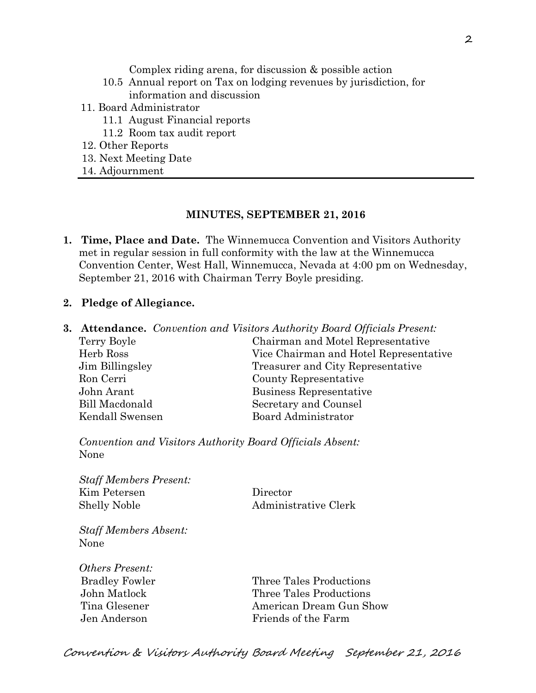Complex riding arena, for discussion & possible action

- 10.5 Annual report on Tax on lodging revenues by jurisdiction, for information and discussion
- 11. Board Administrator
	- 11.1 August Financial reports
	- 11.2 Room tax audit report
- 12. Other Reports
- 13. Next Meeting Date
- 14. Adjournment

#### **MINUTES, SEPTEMBER 21, 2016**

- **1. Time, Place and Date.** The Winnemucca Convention and Visitors Authority met in regular session in full conformity with the law at the Winnemucca Convention Center, West Hall, Winnemucca, Nevada at 4:00 pm on Wednesday, September 21, 2016 with Chairman Terry Boyle presiding.
- **2. Pledge of Allegiance.**
- **3. Attendance.** *Convention and Visitors Authority Board Officials Present:*  Terry Boyle Chairman and Motel Representative Herb Ross Vice Chairman and Hotel Representative Jim Billingsley Treasurer and City Representative Ron Cerri County Representative John Arant Business Representative Bill Macdonald Secretary and Counsel Kendall Swensen Board Administrator

*Convention and Visitors Authority Board Officials Absent:*  None

*Staff Members Present:*  Kim Petersen Director Shelly Noble Administrative Clerk

*Staff Members Absent:*  None

*Others Present:* 

Bradley Fowler Three Tales Productions John Matlock Three Tales Productions Tina Glesener **American Dream Gun Show** Jen Anderson Friends of the Farm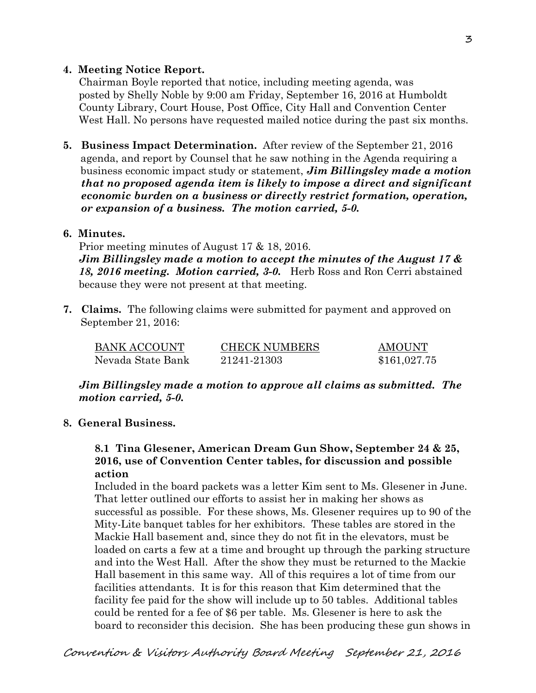## **4. Meeting Notice Report.**

Chairman Boyle reported that notice, including meeting agenda, was posted by Shelly Noble by 9:00 am Friday, September 16, 2016 at Humboldt County Library, Court House, Post Office, City Hall and Convention Center West Hall. No persons have requested mailed notice during the past six months.

**5. Business Impact Determination.** After review of the September 21, 2016 agenda, and report by Counsel that he saw nothing in the Agenda requiring a business economic impact study or statement, *Jim Billingsley made a motion that no proposed agenda item is likely to impose a direct and significant economic burden on a business or directly restrict formation, operation, or expansion of a business. The motion carried, 5-0.* 

### **6. Minutes.**

Prior meeting minutes of August 17 & 18, 2016. *Jim Billingsley made a motion to accept the minutes of the August 17 & 18, 2016 meeting. Motion carried, 3-0.* Herb Ross and Ron Cerri abstained because they were not present at that meeting.

**7. Claims.** The following claims were submitted for payment and approved on September 21, 2016:

| <b>BANK ACCOUNT</b> | <b>CHECK NUMBERS</b> | AMOUNT       |
|---------------------|----------------------|--------------|
| Nevada State Bank   | 21241-21303          | \$161,027.75 |

*Jim Billingsley made a motion to approve all claims as submitted. The motion carried, 5-0.* 

## **8. General Business.**

## **8.1 Tina Glesener, American Dream Gun Show, September 24 & 25, 2016, use of Convention Center tables, for discussion and possible action**

Included in the board packets was a letter Kim sent to Ms. Glesener in June. That letter outlined our efforts to assist her in making her shows as successful as possible. For these shows, Ms. Glesener requires up to 90 of the Mity-Lite banquet tables for her exhibitors. These tables are stored in the Mackie Hall basement and, since they do not fit in the elevators, must be loaded on carts a few at a time and brought up through the parking structure and into the West Hall. After the show they must be returned to the Mackie Hall basement in this same way. All of this requires a lot of time from our facilities attendants. It is for this reason that Kim determined that the facility fee paid for the show will include up to 50 tables. Additional tables could be rented for a fee of \$6 per table. Ms. Glesener is here to ask the board to reconsider this decision. She has been producing these gun shows in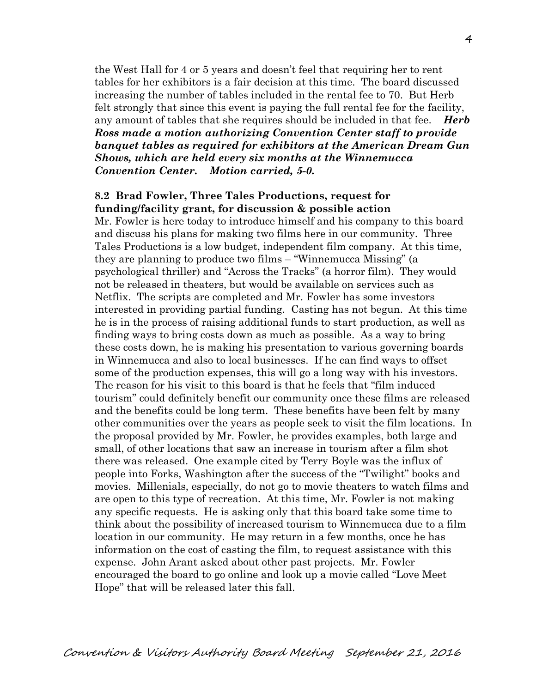the West Hall for 4 or 5 years and doesn't feel that requiring her to rent tables for her exhibitors is a fair decision at this time. The board discussed increasing the number of tables included in the rental fee to 70. But Herb felt strongly that since this event is paying the full rental fee for the facility, any amount of tables that she requires should be included in that fee. *Herb Ross made a motion authorizing Convention Center staff to provide banquet tables as required for exhibitors at the American Dream Gun Shows, which are held every six months at the Winnemucca Convention Center. Motion carried, 5-0.* 

#### **8.2 Brad Fowler, Three Tales Productions, request for funding/facility grant, for discussion & possible action**

Mr. Fowler is here today to introduce himself and his company to this board and discuss his plans for making two films here in our community. Three Tales Productions is a low budget, independent film company. At this time, they are planning to produce two films – "Winnemucca Missing" (a psychological thriller) and "Across the Tracks" (a horror film). They would not be released in theaters, but would be available on services such as Netflix. The scripts are completed and Mr. Fowler has some investors interested in providing partial funding. Casting has not begun. At this time he is in the process of raising additional funds to start production, as well as finding ways to bring costs down as much as possible. As a way to bring these costs down, he is making his presentation to various governing boards in Winnemucca and also to local businesses. If he can find ways to offset some of the production expenses, this will go a long way with his investors. The reason for his visit to this board is that he feels that "film induced tourism" could definitely benefit our community once these films are released and the benefits could be long term. These benefits have been felt by many other communities over the years as people seek to visit the film locations. In the proposal provided by Mr. Fowler, he provides examples, both large and small, of other locations that saw an increase in tourism after a film shot there was released. One example cited by Terry Boyle was the influx of people into Forks, Washington after the success of the "Twilight" books and movies. Millenials, especially, do not go to movie theaters to watch films and are open to this type of recreation. At this time, Mr. Fowler is not making any specific requests. He is asking only that this board take some time to think about the possibility of increased tourism to Winnemucca due to a film location in our community. He may return in a few months, once he has information on the cost of casting the film, to request assistance with this expense. John Arant asked about other past projects. Mr. Fowler encouraged the board to go online and look up a movie called "Love Meet Hope" that will be released later this fall.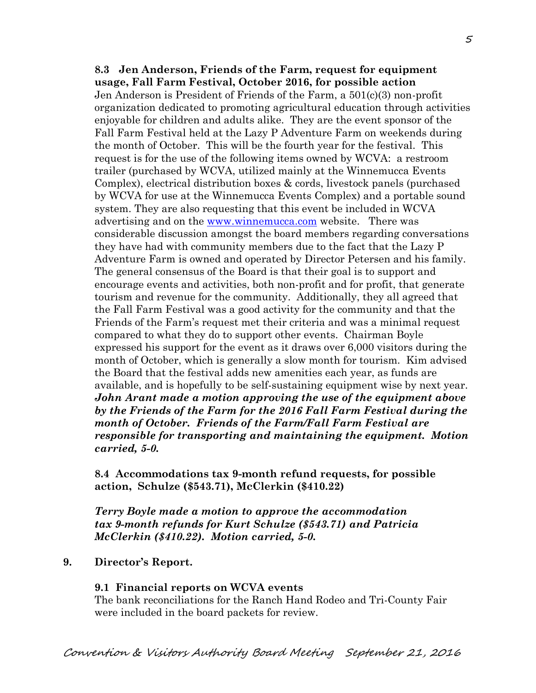**8.3 Jen Anderson, Friends of the Farm, request for equipment usage, Fall Farm Festival, October 2016, for possible action**  Jen Anderson is President of Friends of the Farm, a 501(c)(3) non-profit organization dedicated to promoting agricultural education through activities enjoyable for children and adults alike. They are the event sponsor of the Fall Farm Festival held at the Lazy P Adventure Farm on weekends during the month of October. This will be the fourth year for the festival. This request is for the use of the following items owned by WCVA: a restroom trailer (purchased by WCVA, utilized mainly at the Winnemucca Events Complex), electrical distribution boxes & cords, livestock panels (purchased by WCVA for use at the Winnemucca Events Complex) and a portable sound system. They are also requesting that this event be included in WCVA advertising and on the [www.winnemucca.com](http://www.winnemucca.com/) website. There was considerable discussion amongst the board members regarding conversations they have had with community members due to the fact that the Lazy P Adventure Farm is owned and operated by Director Petersen and his family. The general consensus of the Board is that their goal is to support and encourage events and activities, both non-profit and for profit, that generate tourism and revenue for the community. Additionally, they all agreed that the Fall Farm Festival was a good activity for the community and that the Friends of the Farm's request met their criteria and was a minimal request compared to what they do to support other events. Chairman Boyle expressed his support for the event as it draws over 6,000 visitors during the month of October, which is generally a slow month for tourism. Kim advised the Board that the festival adds new amenities each year, as funds are available, and is hopefully to be self-sustaining equipment wise by next year. *John Arant made a motion approving the use of the equipment above by the Friends of the Farm for the 2016 Fall Farm Festival during the month of October. Friends of the Farm/Fall Farm Festival are responsible for transporting and maintaining the equipment. Motion carried, 5-0.*

**8.4 Accommodations tax 9-month refund requests, for possible action, Schulze (\$543.71), McClerkin (\$410.22)** 

*Terry Boyle made a motion to approve the accommodation tax 9-month refunds for Kurt Schulze (\$543.71) and Patricia McClerkin (\$410.22). Motion carried, 5-0.*

## **9. Director's Report.**

#### **9.1 Financial reports on WCVA events**

The bank reconciliations for the Ranch Hand Rodeo and Tri-County Fair were included in the board packets for review.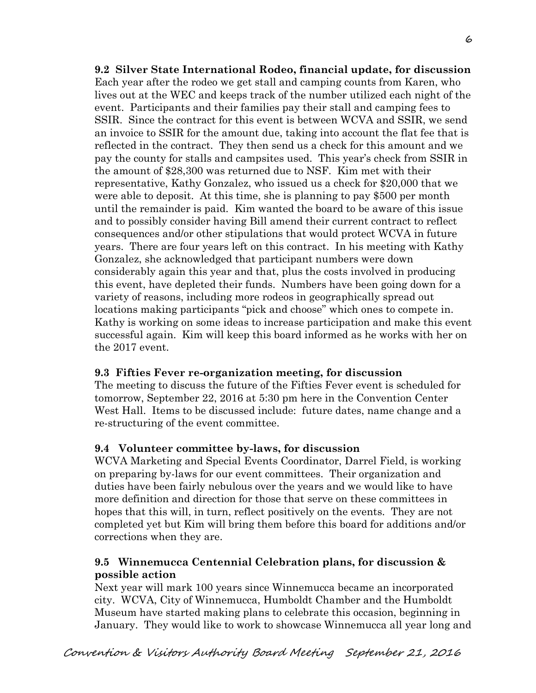**9.2 Silver State International Rodeo, financial update, for discussion**  Each year after the rodeo we get stall and camping counts from Karen, who lives out at the WEC and keeps track of the number utilized each night of the event. Participants and their families pay their stall and camping fees to SSIR. Since the contract for this event is between WCVA and SSIR, we send an invoice to SSIR for the amount due, taking into account the flat fee that is reflected in the contract. They then send us a check for this amount and we pay the county for stalls and campsites used. This year's check from SSIR in the amount of \$28,300 was returned due to NSF. Kim met with their representative, Kathy Gonzalez, who issued us a check for \$20,000 that we were able to deposit. At this time, she is planning to pay \$500 per month until the remainder is paid. Kim wanted the board to be aware of this issue and to possibly consider having Bill amend their current contract to reflect consequences and/or other stipulations that would protect WCVA in future years. There are four years left on this contract. In his meeting with Kathy Gonzalez, she acknowledged that participant numbers were down considerably again this year and that, plus the costs involved in producing this event, have depleted their funds. Numbers have been going down for a variety of reasons, including more rodeos in geographically spread out locations making participants "pick and choose" which ones to compete in. Kathy is working on some ideas to increase participation and make this event successful again. Kim will keep this board informed as he works with her on the 2017 event.

## **9.3 Fifties Fever re-organization meeting, for discussion**

The meeting to discuss the future of the Fifties Fever event is scheduled for tomorrow, September 22, 2016 at 5:30 pm here in the Convention Center West Hall. Items to be discussed include: future dates, name change and a re-structuring of the event committee.

## **9.4 Volunteer committee by-laws, for discussion**

WCVA Marketing and Special Events Coordinator, Darrel Field, is working on preparing by-laws for our event committees. Their organization and duties have been fairly nebulous over the years and we would like to have more definition and direction for those that serve on these committees in hopes that this will, in turn, reflect positively on the events. They are not completed yet but Kim will bring them before this board for additions and/or corrections when they are.

## **9.5 Winnemucca Centennial Celebration plans, for discussion & possible action**

Next year will mark 100 years since Winnemucca became an incorporated city. WCVA, City of Winnemucca, Humboldt Chamber and the Humboldt Museum have started making plans to celebrate this occasion, beginning in January. They would like to work to showcase Winnemucca all year long and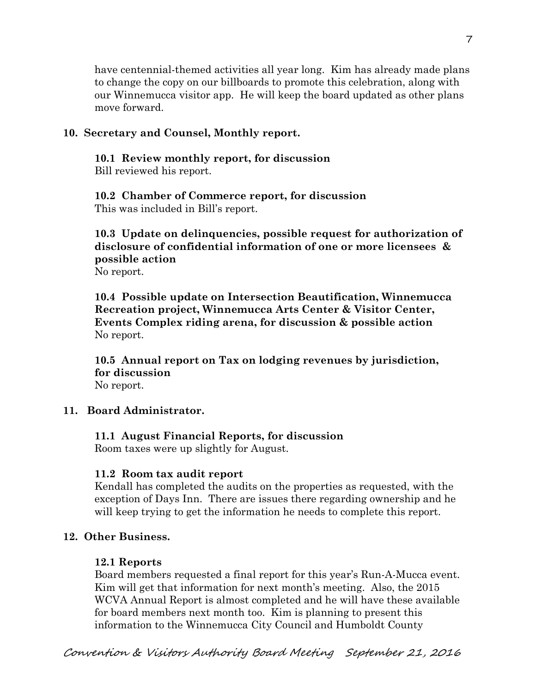have centennial-themed activities all year long. Kim has already made plans to change the copy on our billboards to promote this celebration, along with our Winnemucca visitor app. He will keep the board updated as other plans move forward.

#### **10. Secretary and Counsel, Monthly report.**

**10.1 Review monthly report, for discussion** 

Bill reviewed his report.

**10.2 Chamber of Commerce report, for discussion**  This was included in Bill's report.

**10.3 Update on delinquencies, possible request for authorization of disclosure of confidential information of one or more licensees & possible action**  No report.

**10.4 Possible update on Intersection Beautification, Winnemucca Recreation project, Winnemucca Arts Center & Visitor Center, Events Complex riding arena, for discussion & possible action**  No report.

**10.5 Annual report on Tax on lodging revenues by jurisdiction, for discussion**  No report.

### **11. Board Administrator.**

#### **11.1 August Financial Reports, for discussion**

Room taxes were up slightly for August.

#### **11.2 Room tax audit report**

Kendall has completed the audits on the properties as requested, with the exception of Days Inn. There are issues there regarding ownership and he will keep trying to get the information he needs to complete this report.

#### **12. Other Business.**

#### **12.1 Reports**

Board members requested a final report for this year's Run-A-Mucca event. Kim will get that information for next month's meeting. Also, the 2015 WCVA Annual Report is almost completed and he will have these available for board members next month too. Kim is planning to present this information to the Winnemucca City Council and Humboldt County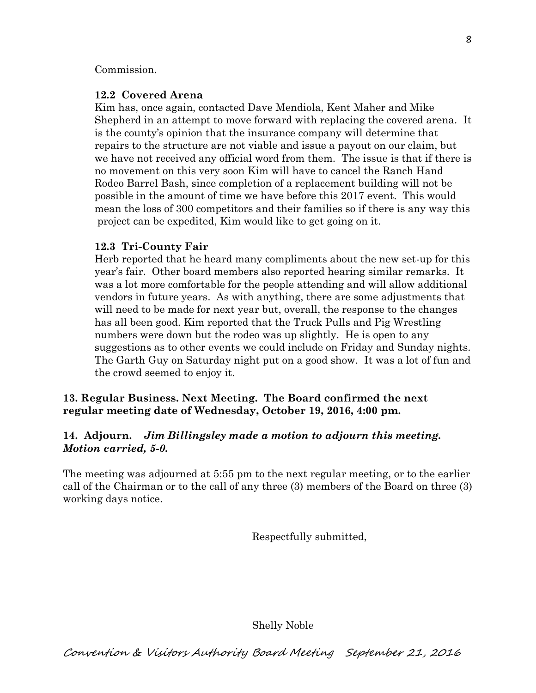### Commission.

## **12.2 Covered Arena**

Kim has, once again, contacted Dave Mendiola, Kent Maher and Mike Shepherd in an attempt to move forward with replacing the covered arena. It is the county's opinion that the insurance company will determine that repairs to the structure are not viable and issue a payout on our claim, but we have not received any official word from them. The issue is that if there is no movement on this very soon Kim will have to cancel the Ranch Hand Rodeo Barrel Bash, since completion of a replacement building will not be possible in the amount of time we have before this 2017 event. This would mean the loss of 300 competitors and their families so if there is any way this project can be expedited, Kim would like to get going on it.

## **12.3 Tri-County Fair**

Herb reported that he heard many compliments about the new set-up for this year's fair. Other board members also reported hearing similar remarks. It was a lot more comfortable for the people attending and will allow additional vendors in future years. As with anything, there are some adjustments that will need to be made for next year but, overall, the response to the changes has all been good. Kim reported that the Truck Pulls and Pig Wrestling numbers were down but the rodeo was up slightly. He is open to any suggestions as to other events we could include on Friday and Sunday nights. The Garth Guy on Saturday night put on a good show. It was a lot of fun and the crowd seemed to enjoy it.

## **13. Regular Business. Next Meeting. The Board confirmed the next regular meeting date of Wednesday, October 19, 2016, 4:00 pm.**

## **14. Adjourn.** *Jim Billingsley made a motion to adjourn this meeting. Motion carried, 5-0.*

The meeting was adjourned at 5:55 pm to the next regular meeting, or to the earlier call of the Chairman or to the call of any three (3) members of the Board on three (3) working days notice.

Respectfully submitted,

Shelly Noble